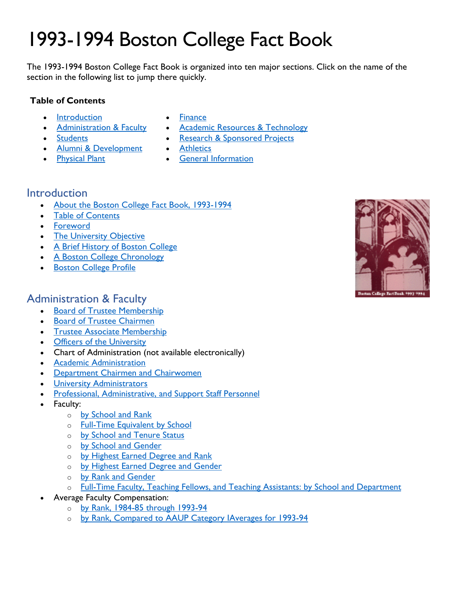# 1993-1994 Boston College Fact Book

The 1993-1994 Boston College Fact Book is organized into ten major sections. Click on the name of the section in the following list to jump there quickly.

#### **Table of Contents**

• [Introduction](#page-0-0)

- [Finance](#page-2-1)
- [Administration & Faculty](#page-0-1) • [Academic Resources & Technology](#page-2-2)
- **[Students](#page-1-0)**
- [Alumni & Development](#page-1-1)
- [Physical Plant](#page-2-0)
- [Research & Sponsored Projects](#page-3-0) • **[Athletics](#page-3-1)**
- [General Information](#page-3-2)

## <span id="page-0-0"></span>Introduction

- [About the Boston College Fact Book, 1993-1994](https://www.bc.edu/content/dam/files/publications/factbook/txt/FB94About_FB94.txt)
- [Table of Contents](https://www.bc.edu/content/dam/files/publications/factbook/txt/FB94TOC.txt)
- [Foreword](https://www.bc.edu/content/dam/files/publications/factbook/txt/FB94Foreward.txt)
- [The University Objective](https://www.bc.edu/content/dam/files/publications/factbook/txt/FB94Object.txt)
- [A Brief History of Boston College](https://www.bc.edu/content/dam/files/publications/factbook/txt/FB94BC_History.txt)
- [A Boston College Chronology](https://www.bc.edu/content/dam/files/publications/factbook/txt/FB94BC_Chron.txt)
- [Boston College Profile](https://www.bc.edu/content/dam/files/publications/factbook/txt/FB94BC_Profile.txt)

## <span id="page-0-1"></span>Administration & Faculty

- [Board of Trustee Membership](https://www.bc.edu/content/dam/files/publications/factbook/txt/FB94Trustee_List.txt)
- **[Board of Trustee Chairmen](https://www.bc.edu/content/dam/files/publications/factbook/txt/FB94Trustee_Chairs.txt)**
- [Trustee Associate Membership](https://www.bc.edu/content/dam/files/publications/factbook/txt/FB94Trustee_Assoc.txt)
- [Officers of the University](https://www.bc.edu/content/dam/files/publications/factbook/txt/FB94Univ_Officers.txt)
- Chart of Administration (not available electronically)
- [Academic Administration](https://www.bc.edu/content/dam/files/publications/factbook/txt/FB94Aca_Admin.txt)
- [Department Chairmen and Chairwomen](https://www.bc.edu/content/dam/files/publications/factbook/txt/FB94Dept_Chairs.txt)
- [University Administrators](https://www.bc.edu/content/dam/files/publications/factbook/txt/FB94Univ_Admin.txt)
- [Professional, Administrative, and Support Staff Personnel](https://www.bc.edu/content/dam/files/publications/factbook/txt/FB94Staff_Stats.txt)
- Faculty:
	- o [by School and Rank](https://www.bc.edu/content/dam/files/publications/factbook/txt/FB94Fac_Sch_Rank.txt)
	- o [Full-Time Equivalent](https://www.bc.edu/content/dam/files/publications/factbook/txt/FB94FTE_Fac.txt) by School
	- o [by School and Tenure Status](https://www.bc.edu/content/dam/files/publications/factbook/txt/FB94Fac_Sch_Ten.txt)
	- o [by School and Gender](https://www.bc.edu/content/dam/files/publications/factbook/txt/FB94Fac_Sch_Gen.txt)
	- o [by Highest Earned Degree and Rank](https://www.bc.edu/content/dam/files/publications/factbook/txt/FB94Fac_Dgr_Rank.txt)
	- o [by Highest Earned Degree and Gender](https://www.bc.edu/content/dam/files/publications/factbook/txt/FB94Fac_Dgr_Gen.txt)
	- o [by Rank and Gender](https://www.bc.edu/content/dam/files/publications/factbook/txt/FB94Fac_Rank_Gen.txt)
	- o [Full-Time Faculty, Teaching Fellows, and Teaching Assistants: by School and Department](https://www.bc.edu/content/dam/files/publications/factbook/txt/FB94Fac_TF_TA.txt)
- Average Faculty Compensation:
	- o [by Rank, 1984-85 through 1993-94](https://www.bc.edu/content/dam/files/publications/factbook/txt/FB94Fac_Comptn_10yrs.txt)
	- o [by Rank, Compared to AAUP Category IAverages for 1993-94](https://www.bc.edu/content/dam/files/publications/factbook/txt/FB94Fac_Comptn_AAUP.txt)

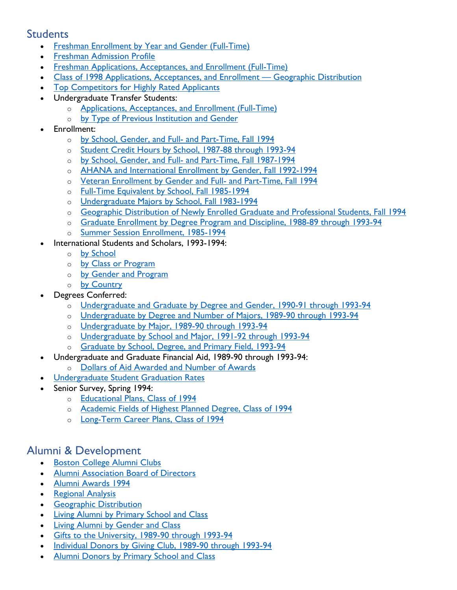## <span id="page-1-0"></span>**Students**

- [Freshman Enrollment by Year and Gender \(Full-Time\)](https://www.bc.edu/content/dam/files/publications/factbook/txt/FB94FT_Fresh_Enroll.txt)
- [Freshman Admission Profile](https://www.bc.edu/content/dam/files/publications/factbook/txt/FB94Fresh_Admiss_Prof.txt)
- [Freshman Applications, Acceptances, and Enrollment \(Full-Time\)](https://www.bc.edu/content/dam/files/publications/factbook/txt/FB94Fresh_App_Acpt_Enr.txt)
- [Class of 1998 Applications, Acceptances, and Enrollment Geographic Distribution](https://www.bc.edu/content/dam/files/publications/factbook/txt/FB94Fresh_Apps_Geogr.txt)
- [Top Competitors for Highly Rated Applicants](https://www.bc.edu/content/dam/files/publications/factbook/txt/FB94Top_Competitors.txt)
- Undergraduate Transfer Students:
	- o [Applications, Acceptances, and Enrollment \(Full-Time\)](https://www.bc.edu/content/dam/files/publications/factbook/txt/FB94Transfer_Apps_Acpt.txt)
	- o [by Type of Previous Institution and Gender](https://www.bc.edu/content/dam/files/publications/factbook/txt/FB94Transfer_Enr_Srce.txt)
- Enrollment:
	- o [by School, Gender, and Full- and Part-Time, Fall 1994](https://www.bc.edu/content/dam/files/publications/factbook/txt/FB94Enrolmt_F94.txt)
	- o [Student Credit Hours by School, 1987-88 through 1993-94](https://www.bc.edu/content/dam/files/publications/factbook/txt/FB94Student_Credit_Hrs.txt)
	- o [by School, Gender, and Full- and Part-Time, Fall 1987-1994](https://www.bc.edu/content/dam/files/publications/factbook/txt/FB94Enroll_87-94.txt)
	- o [AHANA and International Enrollment by Gender, Fall 1992-1994](https://www.bc.edu/content/dam/files/publications/factbook/txt/FB94AHANA_Internl.txt)
	- o [Veteran Enrollment by Gender and Full- and Part-Time, Fall 1994](https://www.bc.edu/content/dam/files/publications/factbook/txt/FB94Vet_Enrollmt.txt)
	- o [Full-Time Equivalent by School, Fall 1985-1994](https://www.bc.edu/content/dam/files/publications/factbook/txt/FB94FTE_Enroll_85-94.txt)
	- o [Undergraduate Majors by School, Fall 1983-1994](https://www.bc.edu/content/dam/files/publications/factbook/txt/FB94UnderG_Majors.txt)
	- o [Geographic Distribution of Newly Enrolled Graduate and Professional Students, Fall 1994](https://www.bc.edu/content/dam/files/publications/factbook/txt/FB94Grad_Stud_Geogr.txt)
	- o [Graduate Enrollment by Degree Program and Discipline, 1988-89 through 1993-94](https://www.bc.edu/content/dam/files/publications/factbook/txt/FB94Grad_Enroll.txt)
	- o [Summer Session Enrollment, 1985-1994](https://www.bc.edu/content/dam/files/publications/factbook/txt/FB94Summer_Enr.txt)
	- International Students and Scholars, 1993-1994:
		- o [by School](https://www.bc.edu/content/dam/files/publications/factbook/txt/FB94Internatl_by_Schl.txt)
		- o [by Class or Program](https://www.bc.edu/content/dam/files/publications/factbook/txt/FB94Internatl_by_Class.txt)
		- o [by Gender and Program](https://www.bc.edu/content/dam/files/publications/factbook/txt/FB94Internatl_by_Gendr.txt)
		- o [by Country](https://www.bc.edu/content/dam/files/publications/factbook/txt/FB94Internatl_by_Cntry.txt)
- Degrees Conferred:
	- o [Undergraduate and Graduate by Degree and Gender, 1990-91 through 1993-94](https://www.bc.edu/content/dam/files/publications/factbook/txt/FB94Dgrs_Gndr.txt)
	- o [Undergraduate by Degree and Number of Majors, 1989-90 through 1993-94](https://www.bc.edu/content/dam/files/publications/factbook/txt/FB94UG_Dgr_Num_Maj.txt)
	- o [Undergraduate by Major, 1989-90 through 1993-94](https://www.bc.edu/content/dam/files/publications/factbook/txt/FB94UG_Drg_Maj.txt)
	- o [Undergraduate by School and Major, 1991-92 through 1993-94](https://www.bc.edu/content/dam/files/publications/factbook/txt/FB94UDgr_Sch_Maj.txt)
	- o [Graduate by School, Degree, and Primary Field, 1993-94](https://www.bc.edu/content/dam/files/publications/factbook/txt/FB94Grad_Drgs_93-94.txt)
- Undergraduate and Graduate Financial Aid, 1989-90 through 1993-94:
- o [Dollars of Aid Awarded and Number of Awards](https://www.bc.edu/content/dam/files/publications/factbook/txt/FB94Fin_Aid.txt)
- [Undergraduate Student Graduation Rates](https://www.bc.edu/content/dam/files/publications/factbook/txt/FB94Grad_Rates.txt)
- Senior Survey, Spring 1994:
	- o [Educational Plans, Class of 1994](https://www.bc.edu/content/dam/files/publications/factbook/txt/FB94Dgr_Plans.txt)
	- o [Academic Fields of Highest Planned Degree, Class of 1994](https://www.bc.edu/content/dam/files/publications/factbook/txt/FB94Field_Plans.txt)
	- o [Long-Term Career Plans, Class of 1994](https://www.bc.edu/content/dam/files/publications/factbook/txt/FB94Career_Plans.txt)

## <span id="page-1-1"></span>Alumni & Development

- [Boston College Alumni Clubs](https://www.bc.edu/content/dam/files/publications/factbook/txt/FB94Alumni_Clubs.txt)
- [Alumni Association Board of Directors](https://www.bc.edu/content/dam/files/publications/factbook/txt/FB94Alum_BofD.txt)
- [Alumni Awards 1994](https://www.bc.edu/content/dam/files/publications/factbook/txt/FB94Alum_Awards.txt)
- [Regional Analysis](https://www.bc.edu/content/dam/files/publications/factbook/txt/FB94Alum_Regnl_Anal.txt)
- [Geographic Distribution](https://www.bc.edu/content/dam/files/publications/factbook/txt/FB94Alum_Geogr_Dist.txt)
- **[Living Alumni by Primary School and Class](https://www.bc.edu/content/dam/files/publications/factbook/txt/FB94Alum_Sch.txt)**
- [Living Alumni by Gender and Class](https://www.bc.edu/content/dam/files/publications/factbook/txt/FB94Alum_Gender.txt)
- [Gifts to the University, 1989-90 through 1993-94](https://www.bc.edu/content/dam/files/publications/factbook/txt/FB94Private_Gifts.txt)
- [Individual Donors by Giving Club, 1989-90 through 1993-94](https://www.bc.edu/content/dam/files/publications/factbook/txt/FB94Donors_by_Club.txt)
- [Alumni Donors by Primary School and Class](https://www.bc.edu/content/dam/files/publications/factbook/txt/FB94Alum_Donors.txt)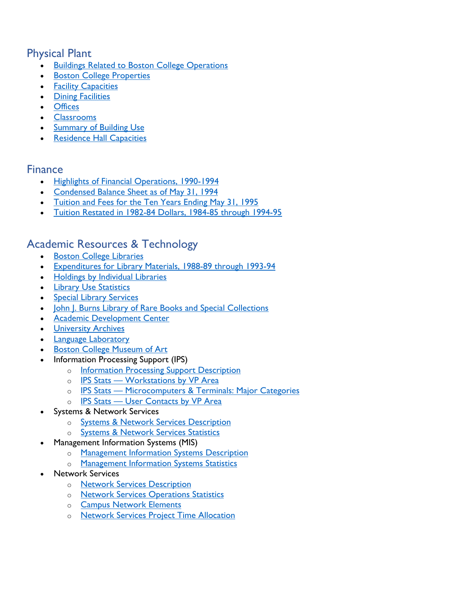# <span id="page-2-0"></span>Physical Plant

- **[Buildings Related to Boston College Operations](https://www.bc.edu/content/dam/files/publications/factbook/txt/FB94Buildings.txt)**
- **[Boston College Properties](https://www.bc.edu/content/dam/files/publications/factbook/txt/FB94Properties.txt)**
- [Facility Capacities](https://www.bc.edu/content/dam/files/publications/factbook/txt/FB94Facility_Cap.txt)
- [Dining Facilities](https://www.bc.edu/content/dam/files/publications/factbook/txt/FB94Dining_Fac.txt)
- [Offices](https://www.bc.edu/content/dam/files/publications/factbook/txt/FB94Offices.txt)
- [Classrooms](https://www.bc.edu/content/dam/files/publications/factbook/txt/FB94Classrooms.txt)
- [Summary of Building Use](https://www.bc.edu/content/dam/files/publications/factbook/txt/FB94Bldg_Use.txt)
- **[Residence Hall Capacities](https://www.bc.edu/content/dam/files/publications/factbook/txt/FB94Dorm_Cap.txt)**

## <span id="page-2-1"></span>Finance

- [Highlights of Financial Operations, 1990-1994](https://www.bc.edu/content/dam/files/publications/factbook/txt/FB94Fin_Highlts.txt)
- [Condensed Balance Sheet as of May 31, 1994](https://www.bc.edu/content/dam/files/publications/factbook/txt/FB94Bal_Sheet.txt)
- [Tuition and Fees for the Ten Years Ending May 31, 1995](https://www.bc.edu/content/dam/files/publications/factbook/txt/FB94Tuition_Fees.txt)
- [Tuition Restated in 1982-84 Dollars, 1984-85 through 1994-95](https://www.bc.edu/content/dam/files/publications/factbook/txt/FB94Tuition_82-84%24s.txt)

## <span id="page-2-2"></span>Academic Resources & Technology

- [Boston College Libraries](https://www.bc.edu/content/dam/files/publications/factbook/txt/FB94BC_Libraries.txt)
- [Expenditures for Library Materials, 1988-89 through 1993-94](https://www.bc.edu/content/dam/files/publications/factbook/txt/FB94Libr_Exp.txt)
- [Holdings by Individual Libraries](https://www.bc.edu/content/dam/files/publications/factbook/txt/FB94Libr_Holdgs.txt)
- [Library Use Statistics](https://www.bc.edu/content/dam/files/publications/factbook/txt/FB94Libr_Use.txt)
- [Special Library Services](https://www.bc.edu/content/dam/files/publications/factbook/txt/FB94Spec_Libr_Serv.txt)
- John J. Burns Library [of Rare Books and Special Collections](https://www.bc.edu/content/dam/files/publications/factbook/txt/FB94Burns_Libr.txt)
- [Academic Development Center](https://www.bc.edu/content/dam/files/publications/factbook/txt/FB94Acad_Dev_Ctr.txt)
- [University Archives](https://www.bc.edu/content/dam/files/publications/factbook/txt/FB94Archives.txt)
- [Language Laboratory](https://www.bc.edu/content/dam/files/publications/factbook/txt/FB94Lang_Lab.txt)
- [Boston College Museum of Art](https://www.bc.edu/content/dam/files/publications/factbook/txt/FB94Museum_Art.txt)
- Information Processing Support (IPS)
	- o **[Information Processing Support Description](https://www.bc.edu/content/dam/files/publications/factbook/txt/FB94IPS_Desc.txt)**
	- o **[IPS Stats Workstations by VP Area](https://www.bc.edu/content/dam/files/publications/factbook/txt/FB94IPS_Wkrst_VP.txt)**
	- o **[IPS Stats Microcomputers & Terminals: Major Categories](https://www.bc.edu/content/dam/files/publications/factbook/txt/FB94MicroTermStats.txt)**
	- o **[IPS Stats User Contacts by VP Area](https://www.bc.edu/content/dam/files/publications/factbook/txt/FB94IPS_User_Stats.txt)**
- Systems & Network Services
	- o [Systems & Network Services Description](https://www.bc.edu/content/dam/files/publications/factbook/txt/FB94Sys_Net_Serv.txt)
	- o [Systems & Network Services Statistics](https://www.bc.edu/content/dam/files/publications/factbook/txt/FB94SysNetServ_Stats.txt)
- Management Information Systems (MIS)
	- o [Management Information Systems Description](https://www.bc.edu/content/dam/files/publications/factbook/txt/FB94MIS_Desc.txt)
	- o [Management Information Systems Statistics](https://www.bc.edu/content/dam/files/publications/factbook/txt/FB94MIS_Stats.txt)
- Network Services
	- o [Network Services Description](https://www.bc.edu/content/dam/files/publications/factbook/txt/FB94NetServ_Desc.txt)
	- o [Network Services Operations Statistics](https://www.bc.edu/content/dam/files/publications/factbook/txt/FB94NetOpStats.txt)
	- o [Campus Network Elements](https://www.bc.edu/content/dam/files/publications/factbook/txt/FB94NetElements.txt)
	- o [Network Services Project Time Allocation](https://www.bc.edu/content/dam/files/publications/factbook/txt/FB94NetServProjAlloc.txt)